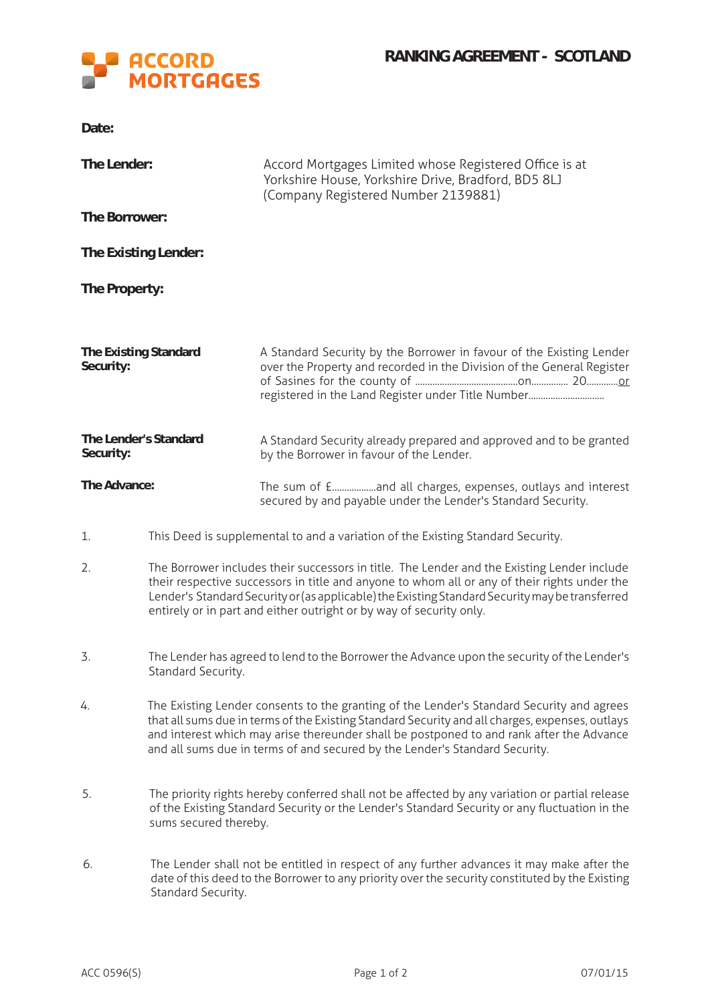

**Date:**

| The Lender:                        |                                                                                                                                                                                                                                                                                                                                                                         | Accord Mortgages Limited whose Registered Office is at<br>Yorkshire House, Yorkshire Drive, Bradford, BD5 8LJ<br>(Company Registered Number 2139881)                                         |  |  |
|------------------------------------|-------------------------------------------------------------------------------------------------------------------------------------------------------------------------------------------------------------------------------------------------------------------------------------------------------------------------------------------------------------------------|----------------------------------------------------------------------------------------------------------------------------------------------------------------------------------------------|--|--|
| The Borrower:                      |                                                                                                                                                                                                                                                                                                                                                                         |                                                                                                                                                                                              |  |  |
| The Existing Lender:               |                                                                                                                                                                                                                                                                                                                                                                         |                                                                                                                                                                                              |  |  |
| The Property:                      |                                                                                                                                                                                                                                                                                                                                                                         |                                                                                                                                                                                              |  |  |
|                                    |                                                                                                                                                                                                                                                                                                                                                                         |                                                                                                                                                                                              |  |  |
| The Existing Standard<br>Security: |                                                                                                                                                                                                                                                                                                                                                                         | A Standard Security by the Borrower in favour of the Existing Lender<br>over the Property and recorded in the Division of the General Register                                               |  |  |
| The Lender's Standard<br>Security: |                                                                                                                                                                                                                                                                                                                                                                         | A Standard Security already prepared and approved and to be granted<br>by the Borrower in favour of the Lender.                                                                              |  |  |
| The Advance:                       |                                                                                                                                                                                                                                                                                                                                                                         | The sum of £and all charges, expenses, outlays and interest<br>secured by and payable under the Lender's Standard Security.                                                                  |  |  |
| 1.                                 | This Deed is supplemental to and a variation of the Existing Standard Security.                                                                                                                                                                                                                                                                                         |                                                                                                                                                                                              |  |  |
| 2.                                 | The Borrower includes their successors in title. The Lender and the Existing Lender include<br>their respective successors in title and anyone to whom all or any of their rights under the<br>Lender's Standard Security or (as applicable) the Existing Standard Security may be transferred<br>entirely or in part and either outright or by way of security only.   |                                                                                                                                                                                              |  |  |
| 3.                                 | The Lender has agreed to lend to the Borrower the Advance upon the security of the Lender's<br>Standard Security.                                                                                                                                                                                                                                                       |                                                                                                                                                                                              |  |  |
| 4.                                 | The Existing Lender consents to the granting of the Lender's Standard Security and agrees<br>that all sums due in terms of the Existing Standard Security and all charges, expenses, outlays<br>and interest which may arise thereunder shall be postponed to and rank after the Advance<br>and all sums due in terms of and secured by the Lender's Standard Security. |                                                                                                                                                                                              |  |  |
| 5.                                 | The priority rights hereby conferred shall not be affected by any variation or partial release<br>of the Existing Standard Security or the Lender's Standard Security or any fluctuation in the<br>sums secured thereby.                                                                                                                                                |                                                                                                                                                                                              |  |  |
| 6.                                 | Standard Security.                                                                                                                                                                                                                                                                                                                                                      | The Lender shall not be entitled in respect of any further advances it may make after the<br>date of this deed to the Borrower to any priority over the security constituted by the Existing |  |  |